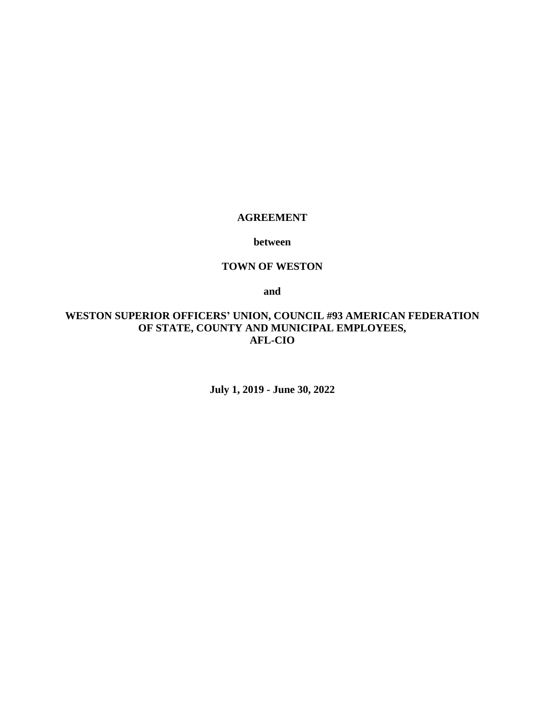### **AGREEMENT**

#### **between**

### **TOWN OF WESTON**

**and**

# **WESTON SUPERIOR OFFICERS' UNION, COUNCIL #93 AMERICAN FEDERATION OF STATE, COUNTY AND MUNICIPAL EMPLOYEES, AFL-CIO**

**July 1, 2019 - June 30, 2022**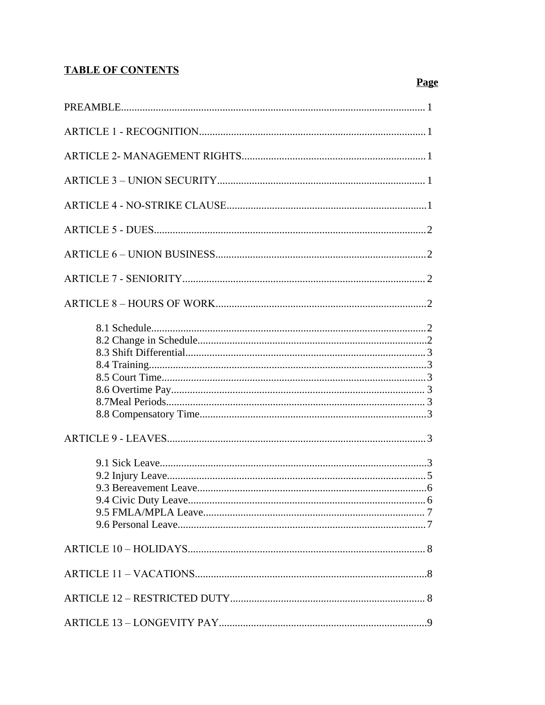# **TABLE OF CONTENTS**

# **Page**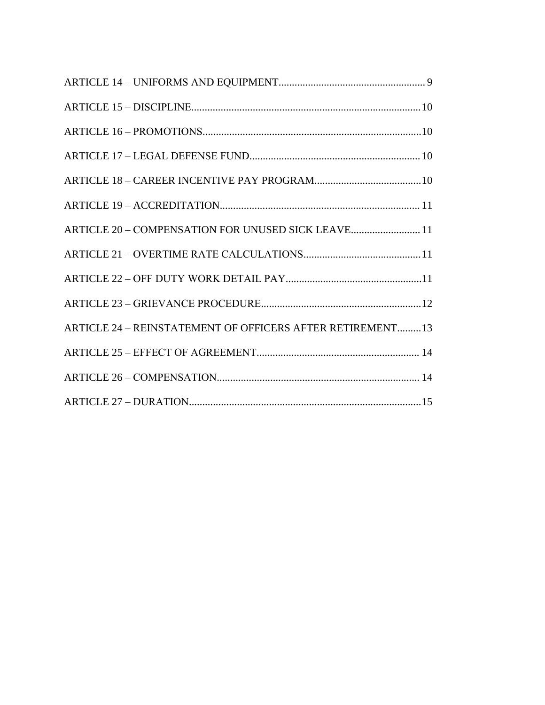| ARTICLE 20 - COMPENSATION FOR UNUSED SICK LEAVE 11        |
|-----------------------------------------------------------|
|                                                           |
|                                                           |
|                                                           |
| ARTICLE 24 - REINSTATEMENT OF OFFICERS AFTER RETIREMENT13 |
|                                                           |
|                                                           |
|                                                           |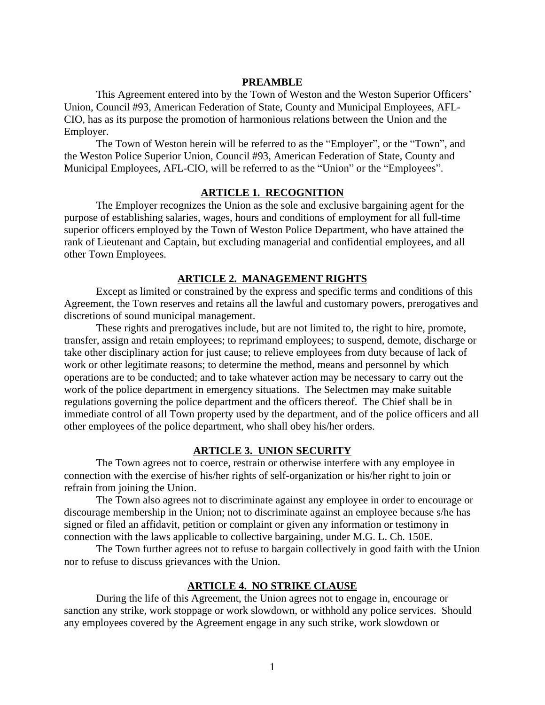#### **PREAMBLE**

This Agreement entered into by the Town of Weston and the Weston Superior Officers' Union, Council #93, American Federation of State, County and Municipal Employees, AFL-CIO, has as its purpose the promotion of harmonious relations between the Union and the Employer.

The Town of Weston herein will be referred to as the "Employer", or the "Town", and the Weston Police Superior Union, Council #93, American Federation of State, County and Municipal Employees, AFL-CIO, will be referred to as the "Union" or the "Employees".

#### **ARTICLE 1. RECOGNITION**

The Employer recognizes the Union as the sole and exclusive bargaining agent for the purpose of establishing salaries, wages, hours and conditions of employment for all full-time superior officers employed by the Town of Weston Police Department, who have attained the rank of Lieutenant and Captain, but excluding managerial and confidential employees, and all other Town Employees.

### **ARTICLE 2. MANAGEMENT RIGHTS**

Except as limited or constrained by the express and specific terms and conditions of this Agreement, the Town reserves and retains all the lawful and customary powers, prerogatives and discretions of sound municipal management.

These rights and prerogatives include, but are not limited to, the right to hire, promote, transfer, assign and retain employees; to reprimand employees; to suspend, demote, discharge or take other disciplinary action for just cause; to relieve employees from duty because of lack of work or other legitimate reasons; to determine the method, means and personnel by which operations are to be conducted; and to take whatever action may be necessary to carry out the work of the police department in emergency situations. The Selectmen may make suitable regulations governing the police department and the officers thereof. The Chief shall be in immediate control of all Town property used by the department, and of the police officers and all other employees of the police department, who shall obey his/her orders.

#### **ARTICLE 3. UNION SECURITY**

The Town agrees not to coerce, restrain or otherwise interfere with any employee in connection with the exercise of his/her rights of self-organization or his/her right to join or refrain from joining the Union.

The Town also agrees not to discriminate against any employee in order to encourage or discourage membership in the Union; not to discriminate against an employee because s/he has signed or filed an affidavit, petition or complaint or given any information or testimony in connection with the laws applicable to collective bargaining, under M.G. L. Ch. 150E.

The Town further agrees not to refuse to bargain collectively in good faith with the Union nor to refuse to discuss grievances with the Union.

#### **ARTICLE 4. NO STRIKE CLAUSE**

During the life of this Agreement, the Union agrees not to engage in, encourage or sanction any strike, work stoppage or work slowdown, or withhold any police services. Should any employees covered by the Agreement engage in any such strike, work slowdown or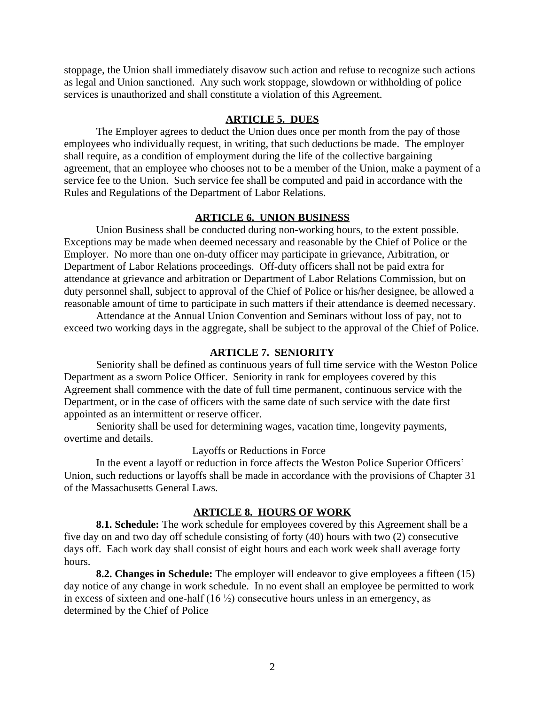stoppage, the Union shall immediately disavow such action and refuse to recognize such actions as legal and Union sanctioned. Any such work stoppage, slowdown or withholding of police services is unauthorized and shall constitute a violation of this Agreement.

#### **ARTICLE 5. DUES**

The Employer agrees to deduct the Union dues once per month from the pay of those employees who individually request, in writing, that such deductions be made. The employer shall require, as a condition of employment during the life of the collective bargaining agreement, that an employee who chooses not to be a member of the Union, make a payment of a service fee to the Union. Such service fee shall be computed and paid in accordance with the Rules and Regulations of the Department of Labor Relations.

#### **ARTICLE 6. UNION BUSINESS**

Union Business shall be conducted during non-working hours, to the extent possible. Exceptions may be made when deemed necessary and reasonable by the Chief of Police or the Employer. No more than one on-duty officer may participate in grievance, Arbitration, or Department of Labor Relations proceedings. Off-duty officers shall not be paid extra for attendance at grievance and arbitration or Department of Labor Relations Commission, but on duty personnel shall, subject to approval of the Chief of Police or his/her designee, be allowed a reasonable amount of time to participate in such matters if their attendance is deemed necessary.

Attendance at the Annual Union Convention and Seminars without loss of pay, not to exceed two working days in the aggregate, shall be subject to the approval of the Chief of Police.

### **ARTICLE 7. SENIORITY**

Seniority shall be defined as continuous years of full time service with the Weston Police Department as a sworn Police Officer. Seniority in rank for employees covered by this Agreement shall commence with the date of full time permanent, continuous service with the Department, or in the case of officers with the same date of such service with the date first appointed as an intermittent or reserve officer.

Seniority shall be used for determining wages, vacation time, longevity payments, overtime and details.

## Layoffs or Reductions in Force

In the event a layoff or reduction in force affects the Weston Police Superior Officers' Union, such reductions or layoffs shall be made in accordance with the provisions of Chapter 31 of the Massachusetts General Laws.

#### **ARTICLE 8. HOURS OF WORK**

**8.1. Schedule:** The work schedule for employees covered by this Agreement shall be a five day on and two day off schedule consisting of forty (40) hours with two (2) consecutive days off. Each work day shall consist of eight hours and each work week shall average forty hours.

**8.2. Changes in Schedule:** The employer will endeavor to give employees a fifteen (15) day notice of any change in work schedule. In no event shall an employee be permitted to work in excess of sixteen and one-half  $(16 \frac{1}{2})$  consecutive hours unless in an emergency, as determined by the Chief of Police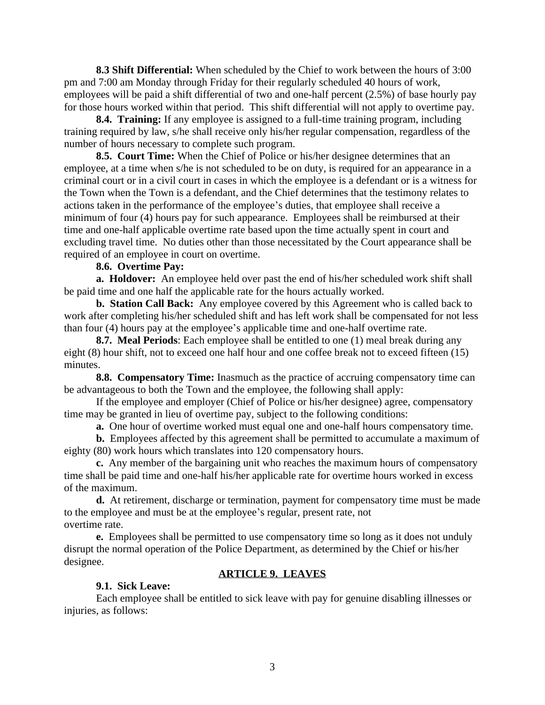**8.3 Shift Differential:** When scheduled by the Chief to work between the hours of 3:00 pm and 7:00 am Monday through Friday for their regularly scheduled 40 hours of work, employees will be paid a shift differential of two and one-half percent (2.5%) of base hourly pay for those hours worked within that period. This shift differential will not apply to overtime pay.

**8.4. Training:** If any employee is assigned to a full-time training program, including training required by law, s/he shall receive only his/her regular compensation, regardless of the number of hours necessary to complete such program.

**8.5. Court Time:** When the Chief of Police or his/her designee determines that an employee, at a time when s/he is not scheduled to be on duty, is required for an appearance in a criminal court or in a civil court in cases in which the employee is a defendant or is a witness for the Town when the Town is a defendant, and the Chief determines that the testimony relates to actions taken in the performance of the employee's duties, that employee shall receive a minimum of four (4) hours pay for such appearance. Employees shall be reimbursed at their time and one-half applicable overtime rate based upon the time actually spent in court and excluding travel time. No duties other than those necessitated by the Court appearance shall be required of an employee in court on overtime.

#### **8.6. Overtime Pay:**

**a. Holdover:** An employee held over past the end of his/her scheduled work shift shall be paid time and one half the applicable rate for the hours actually worked.

**b. Station Call Back:** Any employee covered by this Agreement who is called back to work after completing his/her scheduled shift and has left work shall be compensated for not less than four (4) hours pay at the employee's applicable time and one-half overtime rate.

**8.7. Meal Periods**: Each employee shall be entitled to one (1) meal break during any eight (8) hour shift, not to exceed one half hour and one coffee break not to exceed fifteen (15) minutes.

**8.8. Compensatory Time:** Inasmuch as the practice of accruing compensatory time can be advantageous to both the Town and the employee, the following shall apply:

If the employee and employer (Chief of Police or his/her designee) agree, compensatory time may be granted in lieu of overtime pay, subject to the following conditions:

**a.** One hour of overtime worked must equal one and one-half hours compensatory time.

**b.** Employees affected by this agreement shall be permitted to accumulate a maximum of eighty (80) work hours which translates into 120 compensatory hours.

**c.** Any member of the bargaining unit who reaches the maximum hours of compensatory time shall be paid time and one-half his/her applicable rate for overtime hours worked in excess of the maximum.

**d.** At retirement, discharge or termination, payment for compensatory time must be made to the employee and must be at the employee's regular, present rate, not overtime rate.

**e.** Employees shall be permitted to use compensatory time so long as it does not unduly disrupt the normal operation of the Police Department, as determined by the Chief or his/her designee.

### **ARTICLE 9. LEAVES**

### **9.1. Sick Leave:**

Each employee shall be entitled to sick leave with pay for genuine disabling illnesses or injuries, as follows: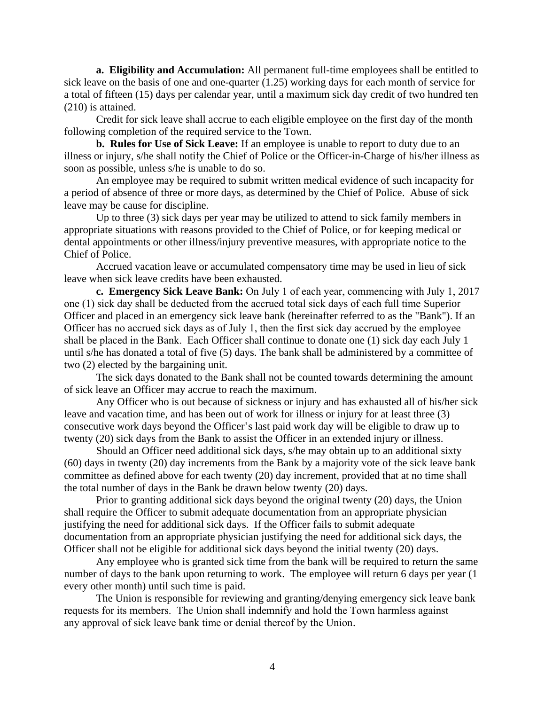**a. Eligibility and Accumulation:** All permanent full-time employees shall be entitled to sick leave on the basis of one and one-quarter (1.25) working days for each month of service for a total of fifteen (15) days per calendar year, until a maximum sick day credit of two hundred ten (210) is attained.

Credit for sick leave shall accrue to each eligible employee on the first day of the month following completion of the required service to the Town.

**b. Rules for Use of Sick Leave:** If an employee is unable to report to duty due to an illness or injury, s/he shall notify the Chief of Police or the Officer-in-Charge of his/her illness as soon as possible, unless s/he is unable to do so.

An employee may be required to submit written medical evidence of such incapacity for a period of absence of three or more days, as determined by the Chief of Police. Abuse of sick leave may be cause for discipline.

Up to three (3) sick days per year may be utilized to attend to sick family members in appropriate situations with reasons provided to the Chief of Police, or for keeping medical or dental appointments or other illness/injury preventive measures, with appropriate notice to the Chief of Police.

Accrued vacation leave or accumulated compensatory time may be used in lieu of sick leave when sick leave credits have been exhausted.

**c. Emergency Sick Leave Bank:** On July 1 of each year, commencing with July 1, 2017 one (1) sick day shall be deducted from the accrued total sick days of each full time Superior Officer and placed in an emergency sick leave bank (hereinafter referred to as the "Bank"). If an Officer has no accrued sick days as of July 1, then the first sick day accrued by the employee shall be placed in the Bank. Each Officer shall continue to donate one (1) sick day each July 1 until s/he has donated a total of five (5) days. The bank shall be administered by a committee of two (2) elected by the bargaining unit.

The sick days donated to the Bank shall not be counted towards determining the amount of sick leave an Officer may accrue to reach the maximum.

Any Officer who is out because of sickness or injury and has exhausted all of his/her sick leave and vacation time, and has been out of work for illness or injury for at least three (3) consecutive work days beyond the Officer's last paid work day will be eligible to draw up to twenty (20) sick days from the Bank to assist the Officer in an extended injury or illness.

Should an Officer need additional sick days, s/he may obtain up to an additional sixty (60) days in twenty (20) day increments from the Bank by a majority vote of the sick leave bank committee as defined above for each twenty (20) day increment, provided that at no time shall the total number of days in the Bank be drawn below twenty (20) days.

Prior to granting additional sick days beyond the original twenty (20) days, the Union shall require the Officer to submit adequate documentation from an appropriate physician justifying the need for additional sick days. If the Officer fails to submit adequate documentation from an appropriate physician justifying the need for additional sick days, the Officer shall not be eligible for additional sick days beyond the initial twenty (20) days.

Any employee who is granted sick time from the bank will be required to return the same number of days to the bank upon returning to work. The employee will return 6 days per year (1) every other month) until such time is paid.

The Union is responsible for reviewing and granting/denying emergency sick leave bank requests for its members. The Union shall indemnify and hold the Town harmless against any approval of sick leave bank time or denial thereof by the Union.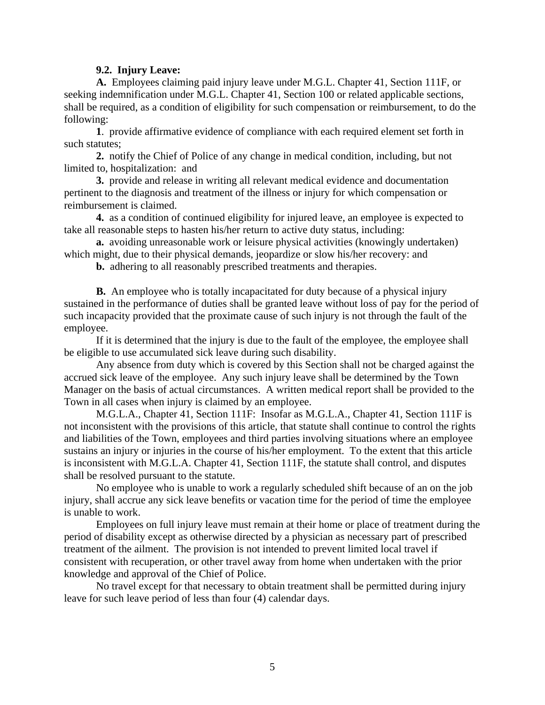#### **9.2. Injury Leave:**

**A.** Employees claiming paid injury leave under M.G.L. Chapter 41, Section 111F, or seeking indemnification under M.G.L. Chapter 41, Section 100 or related applicable sections, shall be required, as a condition of eligibility for such compensation or reimbursement, to do the following:

**1**. provide affirmative evidence of compliance with each required element set forth in such statutes;

**2.** notify the Chief of Police of any change in medical condition, including, but not limited to, hospitalization: and

**3.** provide and release in writing all relevant medical evidence and documentation pertinent to the diagnosis and treatment of the illness or injury for which compensation or reimbursement is claimed.

**4.** as a condition of continued eligibility for injured leave, an employee is expected to take all reasonable steps to hasten his/her return to active duty status, including:

**a.** avoiding unreasonable work or leisure physical activities (knowingly undertaken) which might, due to their physical demands, jeopardize or slow his/her recovery: and

**b.** adhering to all reasonably prescribed treatments and therapies.

**B.** An employee who is totally incapacitated for duty because of a physical injury sustained in the performance of duties shall be granted leave without loss of pay for the period of such incapacity provided that the proximate cause of such injury is not through the fault of the employee.

If it is determined that the injury is due to the fault of the employee, the employee shall be eligible to use accumulated sick leave during such disability.

Any absence from duty which is covered by this Section shall not be charged against the accrued sick leave of the employee. Any such injury leave shall be determined by the Town Manager on the basis of actual circumstances. A written medical report shall be provided to the Town in all cases when injury is claimed by an employee.

M.G.L.A., Chapter 41, Section 111F: Insofar as M.G.L.A., Chapter 41, Section 111F is not inconsistent with the provisions of this article, that statute shall continue to control the rights and liabilities of the Town, employees and third parties involving situations where an employee sustains an injury or injuries in the course of his/her employment. To the extent that this article is inconsistent with M.G.L.A. Chapter 41, Section 111F, the statute shall control, and disputes shall be resolved pursuant to the statute.

No employee who is unable to work a regularly scheduled shift because of an on the job injury, shall accrue any sick leave benefits or vacation time for the period of time the employee is unable to work.

Employees on full injury leave must remain at their home or place of treatment during the period of disability except as otherwise directed by a physician as necessary part of prescribed treatment of the ailment. The provision is not intended to prevent limited local travel if consistent with recuperation, or other travel away from home when undertaken with the prior knowledge and approval of the Chief of Police.

No travel except for that necessary to obtain treatment shall be permitted during injury leave for such leave period of less than four (4) calendar days.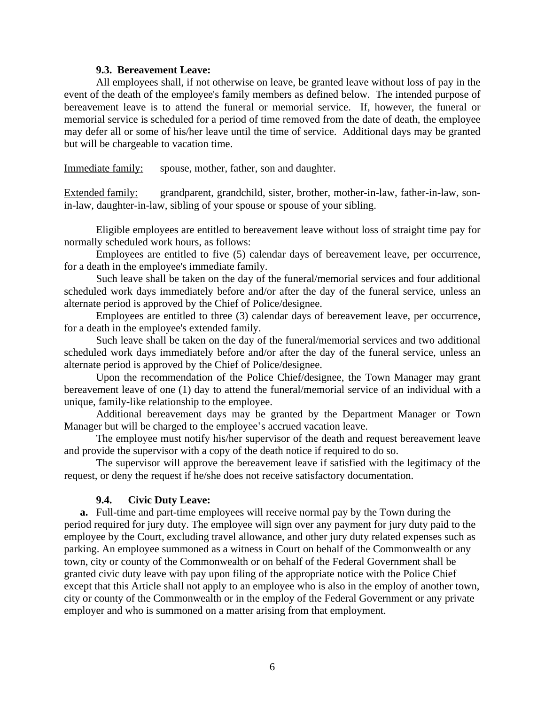#### **9.3. Bereavement Leave:**

All employees shall, if not otherwise on leave, be granted leave without loss of pay in the event of the death of the employee's family members as defined below. The intended purpose of bereavement leave is to attend the funeral or memorial service. If, however, the funeral or memorial service is scheduled for a period of time removed from the date of death, the employee may defer all or some of his/her leave until the time of service. Additional days may be granted but will be chargeable to vacation time.

Immediate family: spouse, mother, father, son and daughter.

Extended family: grandparent, grandchild, sister, brother, mother-in-law, father-in-law, sonin-law, daughter-in-law, sibling of your spouse or spouse of your sibling.

Eligible employees are entitled to bereavement leave without loss of straight time pay for normally scheduled work hours, as follows:

Employees are entitled to five (5) calendar days of bereavement leave, per occurrence, for a death in the employee's immediate family.

Such leave shall be taken on the day of the funeral/memorial services and four additional scheduled work days immediately before and/or after the day of the funeral service, unless an alternate period is approved by the Chief of Police/designee.

Employees are entitled to three (3) calendar days of bereavement leave, per occurrence, for a death in the employee's extended family.

Such leave shall be taken on the day of the funeral/memorial services and two additional scheduled work days immediately before and/or after the day of the funeral service, unless an alternate period is approved by the Chief of Police/designee.

Upon the recommendation of the Police Chief/designee, the Town Manager may grant bereavement leave of one (1) day to attend the funeral/memorial service of an individual with a unique, family-like relationship to the employee.

Additional bereavement days may be granted by the Department Manager or Town Manager but will be charged to the employee's accrued vacation leave.

The employee must notify his/her supervisor of the death and request bereavement leave and provide the supervisor with a copy of the death notice if required to do so.

The supervisor will approve the bereavement leave if satisfied with the legitimacy of the request, or deny the request if he/she does not receive satisfactory documentation.

### **9.4. Civic Duty Leave:**

**a.** Full-time and part-time employees will receive normal pay by the Town during the period required for jury duty. The employee will sign over any payment for jury duty paid to the employee by the Court, excluding travel allowance, and other jury duty related expenses such as parking. An employee summoned as a witness in Court on behalf of the Commonwealth or any town, city or county of the Commonwealth or on behalf of the Federal Government shall be granted civic duty leave with pay upon filing of the appropriate notice with the Police Chief except that this Article shall not apply to an employee who is also in the employ of another town, city or county of the Commonwealth or in the employ of the Federal Government or any private employer and who is summoned on a matter arising from that employment.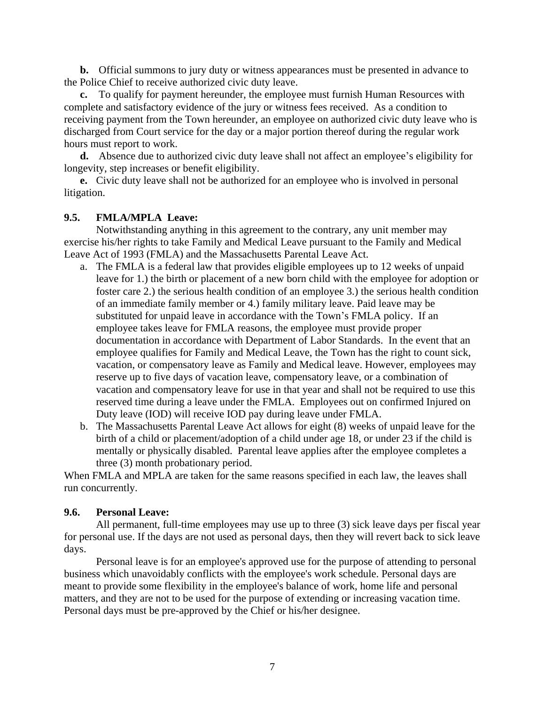**b.** Official summons to jury duty or witness appearances must be presented in advance to the Police Chief to receive authorized civic duty leave.

**c.** To qualify for payment hereunder, the employee must furnish Human Resources with complete and satisfactory evidence of the jury or witness fees received. As a condition to receiving payment from the Town hereunder, an employee on authorized civic duty leave who is discharged from Court service for the day or a major portion thereof during the regular work hours must report to work.

**d.** Absence due to authorized civic duty leave shall not affect an employee's eligibility for longevity, step increases or benefit eligibility.

**e.** Civic duty leave shall not be authorized for an employee who is involved in personal litigation.

### **9.5. FMLA/MPLA Leave:**

Notwithstanding anything in this agreement to the contrary, any unit member may exercise his/her rights to take Family and Medical Leave pursuant to the Family and Medical Leave Act of 1993 (FMLA) and the Massachusetts Parental Leave Act.

- a. The FMLA is a federal law that provides eligible employees up to 12 weeks of unpaid leave for 1.) the birth or placement of a new born child with the employee for adoption or foster care 2.) the serious health condition of an employee 3.) the serious health condition of an immediate family member or 4.) family military leave. Paid leave may be substituted for unpaid leave in accordance with the Town's FMLA policy. If an employee takes leave for FMLA reasons, the employee must provide proper documentation in accordance with Department of Labor Standards. In the event that an employee qualifies for Family and Medical Leave, the Town has the right to count sick, vacation, or compensatory leave as Family and Medical leave. However, employees may reserve up to five days of vacation leave, compensatory leave, or a combination of vacation and compensatory leave for use in that year and shall not be required to use this reserved time during a leave under the FMLA. Employees out on confirmed Injured on Duty leave (IOD) will receive IOD pay during leave under FMLA.
- b. The Massachusetts Parental Leave Act allows for eight (8) weeks of unpaid leave for the birth of a child or placement/adoption of a child under age 18, or under 23 if the child is mentally or physically disabled. Parental leave applies after the employee completes a three (3) month probationary period.

When FMLA and MPLA are taken for the same reasons specified in each law, the leaves shall run concurrently.

### **9.6. Personal Leave:**

All permanent, full-time employees may use up to three (3) sick leave days per fiscal year for personal use. If the days are not used as personal days, then they will revert back to sick leave days.

Personal leave is for an employee's approved use for the purpose of attending to personal business which unavoidably conflicts with the employee's work schedule. Personal days are meant to provide some flexibility in the employee's balance of work, home life and personal matters, and they are not to be used for the purpose of extending or increasing vacation time. Personal days must be pre-approved by the Chief or his/her designee.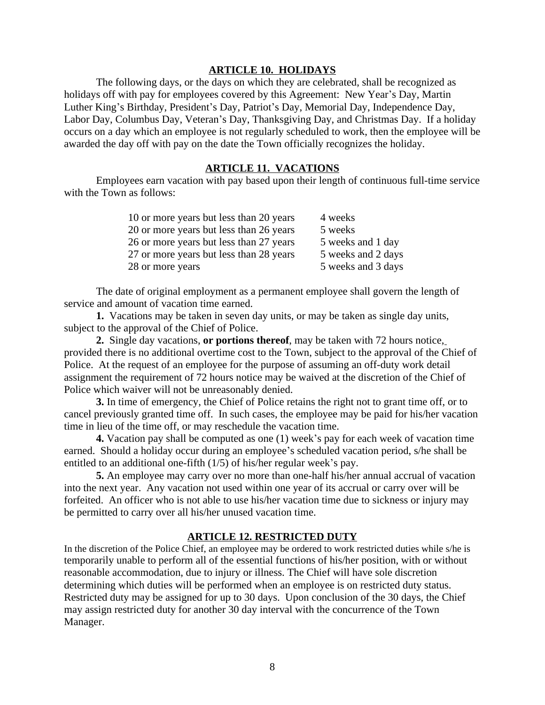### **ARTICLE 10. HOLIDAYS**

The following days, or the days on which they are celebrated, shall be recognized as holidays off with pay for employees covered by this Agreement: New Year's Day, Martin Luther King's Birthday, President's Day, Patriot's Day, Memorial Day, Independence Day, Labor Day, Columbus Day, Veteran's Day, Thanksgiving Day, and Christmas Day. If a holiday occurs on a day which an employee is not regularly scheduled to work, then the employee will be awarded the day off with pay on the date the Town officially recognizes the holiday.

### **ARTICLE 11. VACATIONS**

Employees earn vacation with pay based upon their length of continuous full-time service with the Town as follows:

| 10 or more years but less than 20 years | 4 weeks            |
|-----------------------------------------|--------------------|
| 20 or more years but less than 26 years | 5 weeks            |
| 26 or more years but less than 27 years | 5 weeks and 1 day  |
| 27 or more years but less than 28 years | 5 weeks and 2 days |
| 28 or more years                        | 5 weeks and 3 days |
|                                         |                    |

The date of original employment as a permanent employee shall govern the length of service and amount of vacation time earned.

**1.** Vacations may be taken in seven day units, or may be taken as single day units, subject to the approval of the Chief of Police.

**2.** Single day vacations, **or portions thereof**, may be taken with 72 hours notice, provided there is no additional overtime cost to the Town, subject to the approval of the Chief of Police. At the request of an employee for the purpose of assuming an off-duty work detail assignment the requirement of 72 hours notice may be waived at the discretion of the Chief of Police which waiver will not be unreasonably denied.

**3.** In time of emergency, the Chief of Police retains the right not to grant time off, or to cancel previously granted time off. In such cases, the employee may be paid for his/her vacation time in lieu of the time off, or may reschedule the vacation time.

**4.** Vacation pay shall be computed as one (1) week's pay for each week of vacation time earned. Should a holiday occur during an employee's scheduled vacation period, s/he shall be entitled to an additional one-fifth (1/5) of his/her regular week's pay.

**5.** An employee may carry over no more than one-half his/her annual accrual of vacation into the next year. Any vacation not used within one year of its accrual or carry over will be forfeited. An officer who is not able to use his/her vacation time due to sickness or injury may be permitted to carry over all his/her unused vacation time.

#### **ARTICLE 12. RESTRICTED DUTY**

In the discretion of the Police Chief, an employee may be ordered to work restricted duties while s/he is temporarily unable to perform all of the essential functions of his/her position, with or without reasonable accommodation, due to injury or illness. The Chief will have sole discretion determining which duties will be performed when an employee is on restricted duty status. Restricted duty may be assigned for up to 30 days. Upon conclusion of the 30 days, the Chief may assign restricted duty for another 30 day interval with the concurrence of the Town Manager.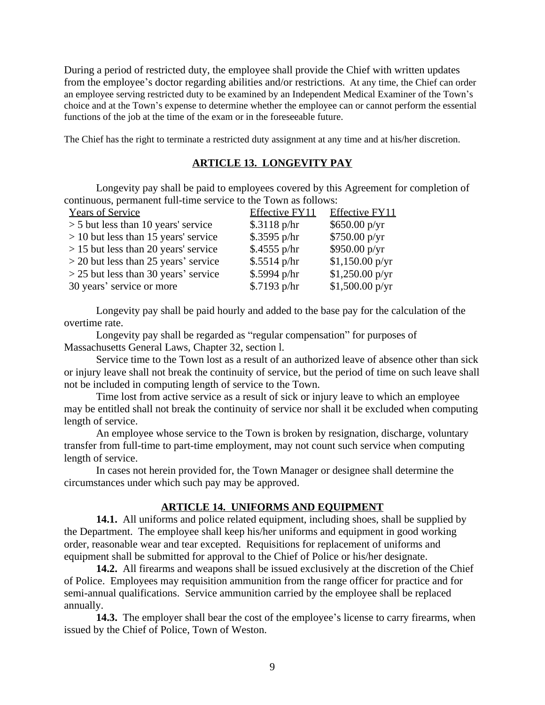During a period of restricted duty, the employee shall provide the Chief with written updates from the employee's doctor regarding abilities and/or restrictions. At any time, the Chief can order an employee serving restricted duty to be examined by an Independent Medical Examiner of the Town's choice and at the Town's expense to determine whether the employee can or cannot perform the essential functions of the job at the time of the exam or in the foreseeable future.

The Chief has the right to terminate a restricted duty assignment at any time and at his/her discretion.

### **ARTICLE 13. LONGEVITY PAY**

Longevity pay shall be paid to employees covered by this Agreement for completion of continuous, permanent full-time service to the Town as follows:

| <b>Years of Service</b>                | Effective FY11 | <b>Effective FY11</b>    |
|----------------------------------------|----------------|--------------------------|
| $>$ 5 but less than 10 years' service  | \$.3118 p/hr   | \$650.00 p/yr            |
| $> 10$ but less than 15 years' service | $$.3595$ p/hr  | \$750.00 p/yr            |
| $> 15$ but less than 20 years' service | $$.4555$ p/hr  | $$950.00\,\mathrm{p/yr}$ |
| $>$ 20 but less than 25 years' service | $$.5514$ p/hr  | \$1,150.00 p/yr          |
| $>$ 25 but less than 30 years' service | $$.5994$ p/hr  | \$1,250.00 p/yr          |
| 30 years' service or more              | \$.7193 p/hr   | \$1,500.00 p/yr          |

Longevity pay shall be paid hourly and added to the base pay for the calculation of the overtime rate.

Longevity pay shall be regarded as "regular compensation" for purposes of Massachusetts General Laws, Chapter 32, section l.

Service time to the Town lost as a result of an authorized leave of absence other than sick or injury leave shall not break the continuity of service, but the period of time on such leave shall not be included in computing length of service to the Town.

Time lost from active service as a result of sick or injury leave to which an employee may be entitled shall not break the continuity of service nor shall it be excluded when computing length of service.

An employee whose service to the Town is broken by resignation, discharge, voluntary transfer from full-time to part-time employment, may not count such service when computing length of service.

In cases not herein provided for, the Town Manager or designee shall determine the circumstances under which such pay may be approved.

#### **ARTICLE 14. UNIFORMS AND EQUIPMENT**

**14.1.** All uniforms and police related equipment, including shoes, shall be supplied by the Department. The employee shall keep his/her uniforms and equipment in good working order, reasonable wear and tear excepted. Requisitions for replacement of uniforms and equipment shall be submitted for approval to the Chief of Police or his/her designate.

**14.2.** All firearms and weapons shall be issued exclusively at the discretion of the Chief of Police. Employees may requisition ammunition from the range officer for practice and for semi-annual qualifications. Service ammunition carried by the employee shall be replaced annually.

**14.3.** The employer shall bear the cost of the employee's license to carry firearms, when issued by the Chief of Police, Town of Weston.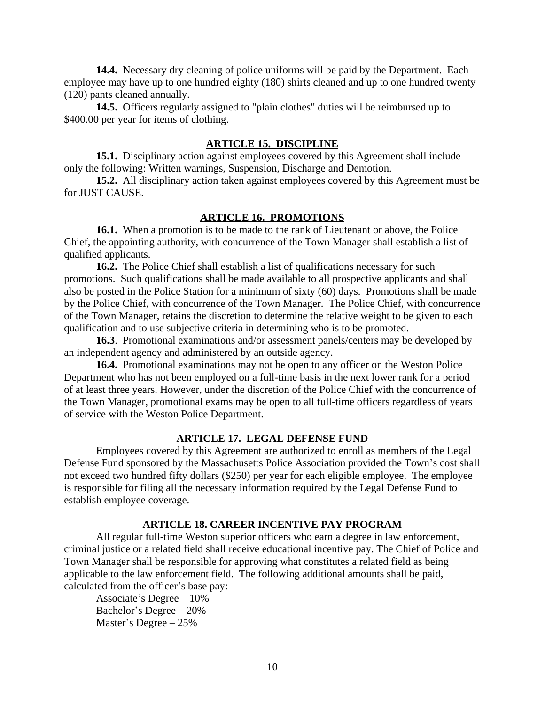**14.4.** Necessary dry cleaning of police uniforms will be paid by the Department. Each employee may have up to one hundred eighty (180) shirts cleaned and up to one hundred twenty (120) pants cleaned annually.

**14.5.** Officers regularly assigned to "plain clothes" duties will be reimbursed up to \$400.00 per year for items of clothing.

#### **ARTICLE 15. DISCIPLINE**

**15.1.** Disciplinary action against employees covered by this Agreement shall include only the following: Written warnings, Suspension, Discharge and Demotion.

**15.2.** All disciplinary action taken against employees covered by this Agreement must be for JUST CAUSE.

#### **ARTICLE 16. PROMOTIONS**

**16.1.** When a promotion is to be made to the rank of Lieutenant or above, the Police Chief, the appointing authority, with concurrence of the Town Manager shall establish a list of qualified applicants.

**16.2.** The Police Chief shall establish a list of qualifications necessary for such promotions. Such qualifications shall be made available to all prospective applicants and shall also be posted in the Police Station for a minimum of sixty (60) days. Promotions shall be made by the Police Chief, with concurrence of the Town Manager. The Police Chief, with concurrence of the Town Manager, retains the discretion to determine the relative weight to be given to each qualification and to use subjective criteria in determining who is to be promoted.

**16.3**. Promotional examinations and/or assessment panels/centers may be developed by an independent agency and administered by an outside agency.

**16.4.** Promotional examinations may not be open to any officer on the Weston Police Department who has not been employed on a full-time basis in the next lower rank for a period of at least three years. However, under the discretion of the Police Chief with the concurrence of the Town Manager, promotional exams may be open to all full-time officers regardless of years of service with the Weston Police Department.

#### **ARTICLE 17. LEGAL DEFENSE FUND**

Employees covered by this Agreement are authorized to enroll as members of the Legal Defense Fund sponsored by the Massachusetts Police Association provided the Town's cost shall not exceed two hundred fifty dollars (\$250) per year for each eligible employee. The employee is responsible for filing all the necessary information required by the Legal Defense Fund to establish employee coverage.

#### **ARTICLE 18. CAREER INCENTIVE PAY PROGRAM**

All regular full-time Weston superior officers who earn a degree in law enforcement, criminal justice or a related field shall receive educational incentive pay. The Chief of Police and Town Manager shall be responsible for approving what constitutes a related field as being applicable to the law enforcement field. The following additional amounts shall be paid, calculated from the officer's base pay:

Associate's Degree – 10% Bachelor's Degree – 20% Master's Degree – 25%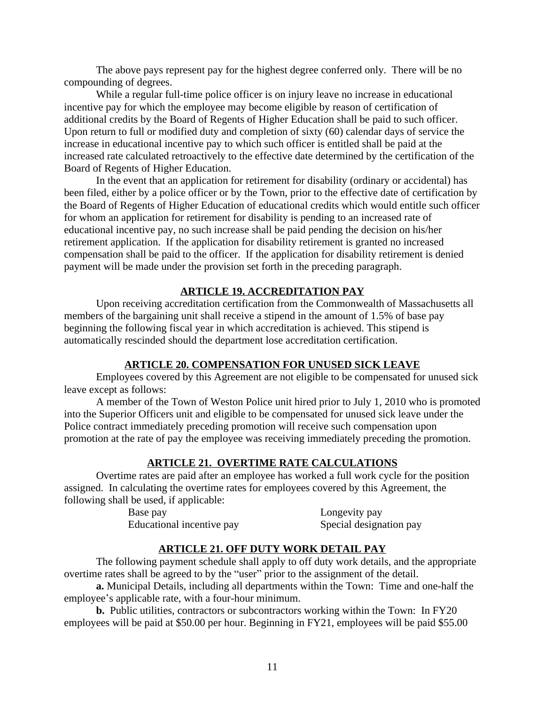The above pays represent pay for the highest degree conferred only. There will be no compounding of degrees.

While a regular full-time police officer is on injury leave no increase in educational incentive pay for which the employee may become eligible by reason of certification of additional credits by the Board of Regents of Higher Education shall be paid to such officer. Upon return to full or modified duty and completion of sixty (60) calendar days of service the increase in educational incentive pay to which such officer is entitled shall be paid at the increased rate calculated retroactively to the effective date determined by the certification of the Board of Regents of Higher Education.

In the event that an application for retirement for disability (ordinary or accidental) has been filed, either by a police officer or by the Town, prior to the effective date of certification by the Board of Regents of Higher Education of educational credits which would entitle such officer for whom an application for retirement for disability is pending to an increased rate of educational incentive pay, no such increase shall be paid pending the decision on his/her retirement application. If the application for disability retirement is granted no increased compensation shall be paid to the officer. If the application for disability retirement is denied payment will be made under the provision set forth in the preceding paragraph.

### **ARTICLE 19. ACCREDITATION PAY**

Upon receiving accreditation certification from the Commonwealth of Massachusetts all members of the bargaining unit shall receive a stipend in the amount of 1.5% of base pay beginning the following fiscal year in which accreditation is achieved. This stipend is automatically rescinded should the department lose accreditation certification.

# **ARTICLE 20. COMPENSATION FOR UNUSED SICK LEAVE**

Employees covered by this Agreement are not eligible to be compensated for unused sick leave except as follows:

A member of the Town of Weston Police unit hired prior to July 1, 2010 who is promoted into the Superior Officers unit and eligible to be compensated for unused sick leave under the Police contract immediately preceding promotion will receive such compensation upon promotion at the rate of pay the employee was receiving immediately preceding the promotion.

# **ARTICLE 21. OVERTIME RATE CALCULATIONS**

Overtime rates are paid after an employee has worked a full work cycle for the position assigned. In calculating the overtime rates for employees covered by this Agreement, the following shall be used, if applicable:

> Base pay Longevity pay Educational incentive pay Special designation pay

# **ARTICLE 21. OFF DUTY WORK DETAIL PAY**

The following payment schedule shall apply to off duty work details, and the appropriate overtime rates shall be agreed to by the "user" prior to the assignment of the detail.

**a.** Municipal Details, including all departments within the Town: Time and one-half the employee's applicable rate, with a four-hour minimum.

**b.** Public utilities, contractors or subcontractors working within the Town: In FY20 employees will be paid at \$50.00 per hour. Beginning in FY21, employees will be paid \$55.00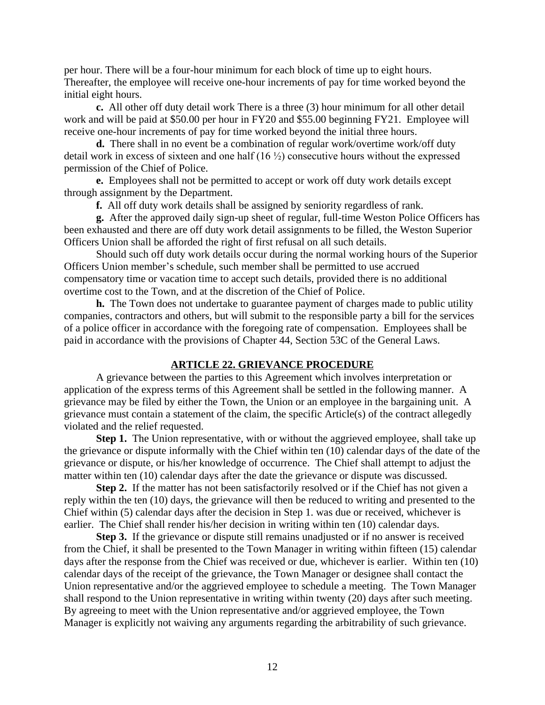per hour. There will be a four-hour minimum for each block of time up to eight hours. Thereafter, the employee will receive one-hour increments of pay for time worked beyond the initial eight hours.

**c.** All other off duty detail work There is a three (3) hour minimum for all other detail work and will be paid at \$50.00 per hour in FY20 and \$55.00 beginning FY21. Employee will receive one-hour increments of pay for time worked beyond the initial three hours.

**d.** There shall in no event be a combination of regular work/overtime work/off duty detail work in excess of sixteen and one half (16 ½) consecutive hours without the expressed permission of the Chief of Police.

**e.** Employees shall not be permitted to accept or work off duty work details except through assignment by the Department.

**f.** All off duty work details shall be assigned by seniority regardless of rank.

**g.** After the approved daily sign-up sheet of regular, full-time Weston Police Officers has been exhausted and there are off duty work detail assignments to be filled, the Weston Superior Officers Union shall be afforded the right of first refusal on all such details.

Should such off duty work details occur during the normal working hours of the Superior Officers Union member's schedule, such member shall be permitted to use accrued compensatory time or vacation time to accept such details, provided there is no additional overtime cost to the Town, and at the discretion of the Chief of Police.

**h.** The Town does not undertake to guarantee payment of charges made to public utility companies, contractors and others, but will submit to the responsible party a bill for the services of a police officer in accordance with the foregoing rate of compensation. Employees shall be paid in accordance with the provisions of Chapter 44, Section 53C of the General Laws.

#### **ARTICLE 22. GRIEVANCE PROCEDURE**

A grievance between the parties to this Agreement which involves interpretation or application of the express terms of this Agreement shall be settled in the following manner. A grievance may be filed by either the Town, the Union or an employee in the bargaining unit. A grievance must contain a statement of the claim, the specific Article(s) of the contract allegedly violated and the relief requested.

**Step 1.** The Union representative, with or without the aggrieved employee, shall take up the grievance or dispute informally with the Chief within ten (10) calendar days of the date of the grievance or dispute, or his/her knowledge of occurrence. The Chief shall attempt to adjust the matter within ten (10) calendar days after the date the grievance or dispute was discussed.

**Step 2.** If the matter has not been satisfactorily resolved or if the Chief has not given a reply within the ten (10) days, the grievance will then be reduced to writing and presented to the Chief within (5) calendar days after the decision in Step 1. was due or received, whichever is earlier. The Chief shall render his/her decision in writing within ten (10) calendar days.

**Step 3.** If the grievance or dispute still remains unadjusted or if no answer is received from the Chief, it shall be presented to the Town Manager in writing within fifteen (15) calendar days after the response from the Chief was received or due, whichever is earlier. Within ten (10) calendar days of the receipt of the grievance, the Town Manager or designee shall contact the Union representative and/or the aggrieved employee to schedule a meeting. The Town Manager shall respond to the Union representative in writing within twenty (20) days after such meeting. By agreeing to meet with the Union representative and/or aggrieved employee, the Town Manager is explicitly not waiving any arguments regarding the arbitrability of such grievance.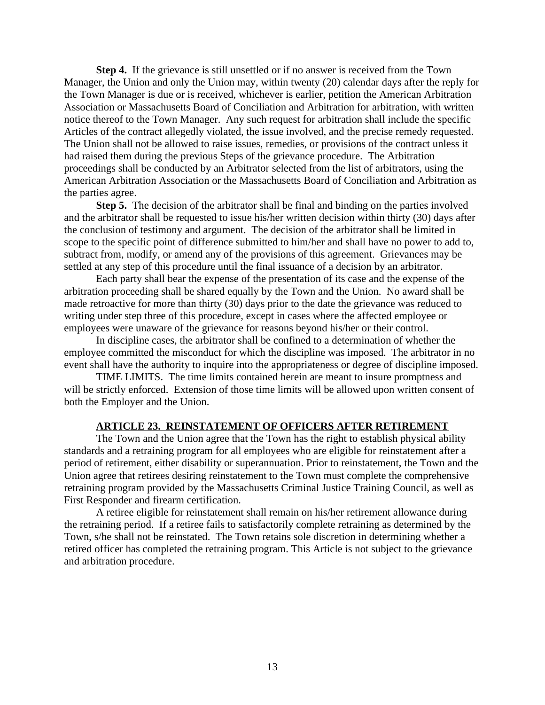**Step 4.** If the grievance is still unsettled or if no answer is received from the Town Manager, the Union and only the Union may, within twenty (20) calendar days after the reply for the Town Manager is due or is received, whichever is earlier, petition the American Arbitration Association or Massachusetts Board of Conciliation and Arbitration for arbitration, with written notice thereof to the Town Manager. Any such request for arbitration shall include the specific Articles of the contract allegedly violated, the issue involved, and the precise remedy requested. The Union shall not be allowed to raise issues, remedies, or provisions of the contract unless it had raised them during the previous Steps of the grievance procedure. The Arbitration proceedings shall be conducted by an Arbitrator selected from the list of arbitrators, using the American Arbitration Association or the Massachusetts Board of Conciliation and Arbitration as the parties agree.

**Step 5.** The decision of the arbitrator shall be final and binding on the parties involved and the arbitrator shall be requested to issue his/her written decision within thirty (30) days after the conclusion of testimony and argument. The decision of the arbitrator shall be limited in scope to the specific point of difference submitted to him/her and shall have no power to add to, subtract from, modify, or amend any of the provisions of this agreement. Grievances may be settled at any step of this procedure until the final issuance of a decision by an arbitrator.

Each party shall bear the expense of the presentation of its case and the expense of the arbitration proceeding shall be shared equally by the Town and the Union. No award shall be made retroactive for more than thirty (30) days prior to the date the grievance was reduced to writing under step three of this procedure, except in cases where the affected employee or employees were unaware of the grievance for reasons beyond his/her or their control.

In discipline cases, the arbitrator shall be confined to a determination of whether the employee committed the misconduct for which the discipline was imposed. The arbitrator in no event shall have the authority to inquire into the appropriateness or degree of discipline imposed.

TIME LIMITS. The time limits contained herein are meant to insure promptness and will be strictly enforced. Extension of those time limits will be allowed upon written consent of both the Employer and the Union.

#### **ARTICLE 23. REINSTATEMENT OF OFFICERS AFTER RETIREMENT**

The Town and the Union agree that the Town has the right to establish physical ability standards and a retraining program for all employees who are eligible for reinstatement after a period of retirement, either disability or superannuation. Prior to reinstatement, the Town and the Union agree that retirees desiring reinstatement to the Town must complete the comprehensive retraining program provided by the Massachusetts Criminal Justice Training Council, as well as First Responder and firearm certification.

A retiree eligible for reinstatement shall remain on his/her retirement allowance during the retraining period. If a retiree fails to satisfactorily complete retraining as determined by the Town, s/he shall not be reinstated. The Town retains sole discretion in determining whether a retired officer has completed the retraining program. This Article is not subject to the grievance and arbitration procedure.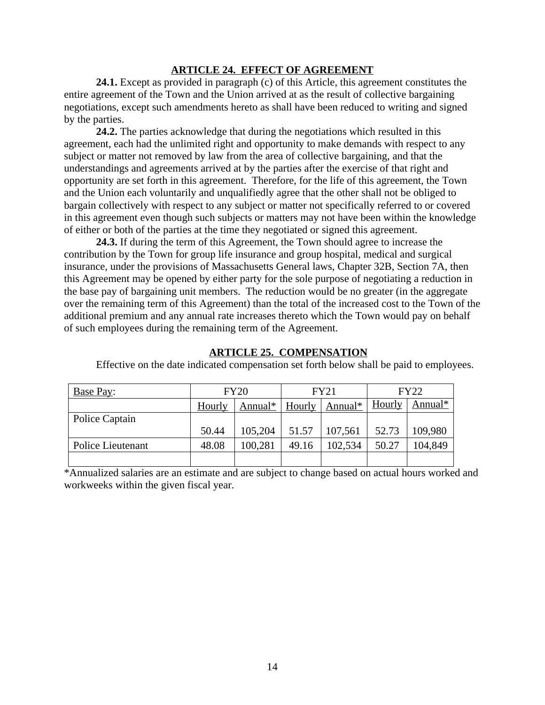### **ARTICLE 24. EFFECT OF AGREEMENT**

**24.1.** Except as provided in paragraph (c) of this Article, this agreement constitutes the entire agreement of the Town and the Union arrived at as the result of collective bargaining negotiations, except such amendments hereto as shall have been reduced to writing and signed by the parties.

**24.2.** The parties acknowledge that during the negotiations which resulted in this agreement, each had the unlimited right and opportunity to make demands with respect to any subject or matter not removed by law from the area of collective bargaining, and that the understandings and agreements arrived at by the parties after the exercise of that right and opportunity are set forth in this agreement. Therefore, for the life of this agreement, the Town and the Union each voluntarily and unqualifiedly agree that the other shall not be obliged to bargain collectively with respect to any subject or matter not specifically referred to or covered in this agreement even though such subjects or matters may not have been within the knowledge of either or both of the parties at the time they negotiated or signed this agreement.

**24.3.** If during the term of this Agreement, the Town should agree to increase the contribution by the Town for group life insurance and group hospital, medical and surgical insurance, under the provisions of Massachusetts General laws, Chapter 32B, Section 7A, then this Agreement may be opened by either party for the sole purpose of negotiating a reduction in the base pay of bargaining unit members. The reduction would be no greater (in the aggregate over the remaining term of this Agreement) than the total of the increased cost to the Town of the additional premium and any annual rate increases thereto which the Town would pay on behalf of such employees during the remaining term of the Agreement.

#### **ARTICLE 25. COMPENSATION**

| Base Pay:         | <b>FY20</b> |         | <b>FY21</b> |         | FY22   |         |
|-------------------|-------------|---------|-------------|---------|--------|---------|
|                   | Hourly      | Annual* | Hourly      | Annual* | Hourly | Annual* |
| Police Captain    |             |         |             |         |        |         |
|                   | 50.44       | 105,204 | 51.57       | 107,561 | 52.73  | 109,980 |
| Police Lieutenant | 48.08       | 100,281 | 49.16       | 102,534 | 50.27  | 104,849 |
|                   |             |         |             |         |        |         |

Effective on the date indicated compensation set forth below shall be paid to employees.

\*Annualized salaries are an estimate and are subject to change based on actual hours worked and workweeks within the given fiscal year.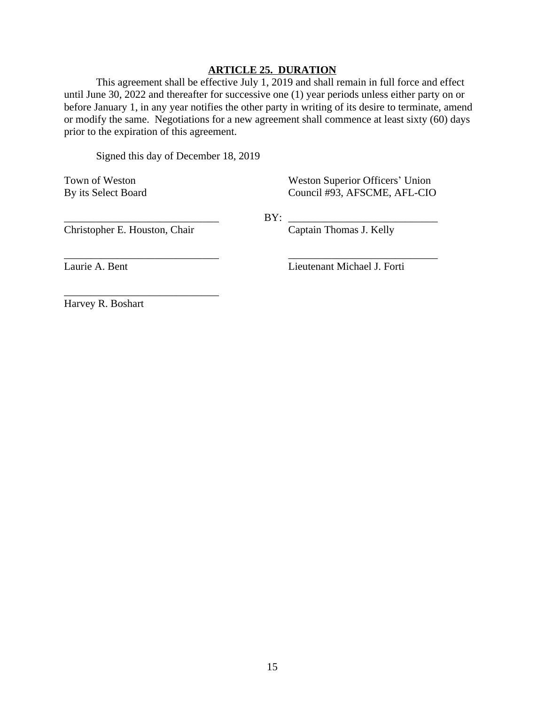#### **ARTICLE 25. DURATION**

This agreement shall be effective July 1, 2019 and shall remain in full force and effect until June 30, 2022 and thereafter for successive one (1) year periods unless either party on or before January 1, in any year notifies the other party in writing of its desire to terminate, amend or modify the same. Negotiations for a new agreement shall commence at least sixty (60) days prior to the expiration of this agreement.

Signed this day of December 18, 2019

Town of Weston Superior Officers' Union By its Select Board Council #93, AFSCME, AFL-CIO

\_\_\_\_\_\_\_\_\_\_\_\_\_\_\_\_\_\_\_\_\_\_\_\_\_\_\_\_\_ BY: \_\_\_\_\_\_\_\_\_\_\_\_\_\_\_\_\_\_\_\_\_\_\_\_\_\_\_\_

\_\_\_\_\_\_\_\_\_\_\_\_\_\_\_\_\_\_\_\_\_\_\_\_\_\_\_\_\_ \_\_\_\_\_\_\_\_\_\_\_\_\_\_\_\_\_\_\_\_\_\_\_\_\_\_\_\_

Christopher E. Houston, Chair Captain Thomas J. Kelly

\_\_\_\_\_\_\_\_\_\_\_\_\_\_\_\_\_\_\_\_\_\_\_\_\_\_\_\_\_

Laurie A. Bent Lieutenant Michael J. Forti

Harvey R. Boshart